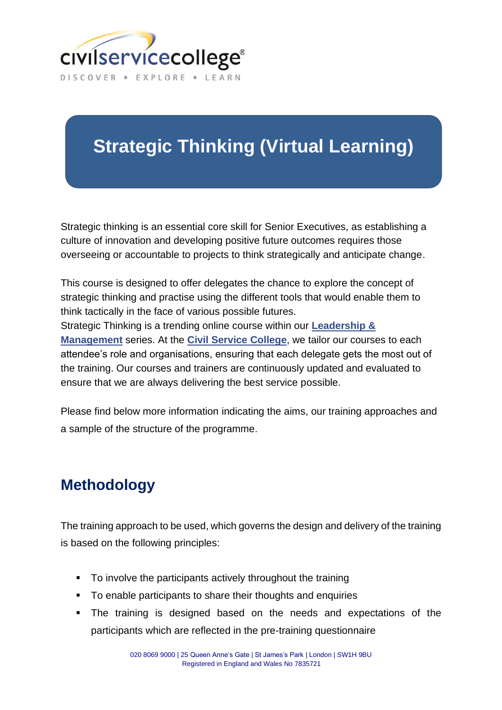

## **Strategic Thinking (Virtual Learning)**

Strategic thinking is an essential core skill for Senior Executives, as establishing a culture of innovation and developing positive future outcomes requires those overseeing or accountable to projects to think strategically and anticipate change.

This course is designed to offer delegates the chance to explore the concept of strategic thinking and practise using the different tools that would enable them to think tactically in the face of various possible futures. Strategic Thinking is a trending online course within our **[Leadership](https://www.civilservicecollege.org.uk/virtual-courses/leadership-management-5) & [Management](https://www.civilservicecollege.org.uk/virtual-courses/leadership-management-5)** series. At the **Civil Service [College](https://www.civilservicecollege.org.uk/about-us)**, we tailor our courses to each attendee's role and organisations, ensuring that each delegate gets the most out of the training. Our courses and trainers are continuously updated and evaluated to

Please find below more information indicating the aims, our training approaches and a sample of the structure of the programme.

## **Methodology**

The training approach to be used, which governs the design and delivery of the training is based on the following principles:

■ To involve the participants actively throughout the training

ensure that we are always delivering the best service possible.

- To enable participants to share their thoughts and enquiries
- **.** The training is designed based on the needs and expectations of the participants which are reflected in the pre-training questionnaire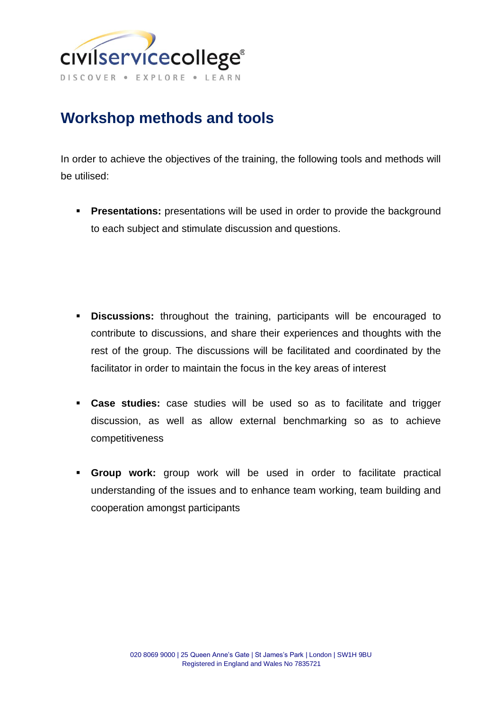

## **Workshop methods and tools**

In order to achieve the objectives of the training, the following tools and methods will be utilised:

**• Presentations:** presentations will be used in order to provide the background to each subject and stimulate discussion and questions.

- **Discussions:** throughout the training, participants will be encouraged to contribute to discussions, and share their experiences and thoughts with the rest of the group. The discussions will be facilitated and coordinated by the facilitator in order to maintain the focus in the key areas of interest
- **Case studies:** case studies will be used so as to facilitate and trigger discussion, as well as allow external benchmarking so as to achieve competitiveness
- **Group work:** group work will be used in order to facilitate practical understanding of the issues and to enhance team working, team building and cooperation amongst participants